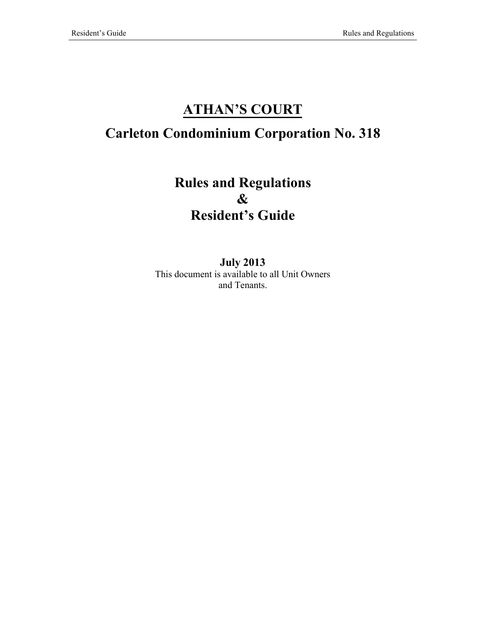# **ATHAN'S COURT**

# **Carleton Condominium Corporation No. 318**

# **Rules and Regulations & Resident's Guide**

**July 2013** This document is available to all Unit Owners and Tenants.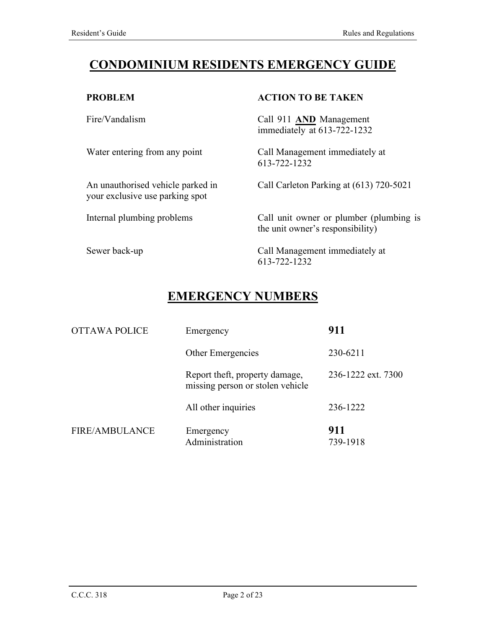## **CONDOMINIUM RESIDENTS EMERGENCY GUIDE**

#### **PROBLEM**

Fire/Vandalism

Water entering from any point

An unauthorised vehicle parked in your exclusive use parking spot

Internal plumbing problems

#### Sewer back-up

#### **ACTION TO BE TAKEN**

Call 911 **AND** Management immediately at 613-722-1232

Call Management immediately at 613-722-1232

Call Carleton Parking at (613) 720-5021

Call unit owner or plumber (plumbing is the unit owner's responsibility)

Call Management immediately at 613-722-1232

## **EMERGENCY NUMBERS**

| <b>OTTAWA POLICE</b>  | Emergency                                                          | 911                |
|-----------------------|--------------------------------------------------------------------|--------------------|
|                       | <b>Other Emergencies</b>                                           | 230-6211           |
|                       | Report theft, property damage,<br>missing person or stolen vehicle | 236-1222 ext. 7300 |
|                       | All other inquiries                                                | 236-1222           |
| <b>FIRE/AMBULANCE</b> | Emergency<br>Administration                                        | 911<br>739-1918    |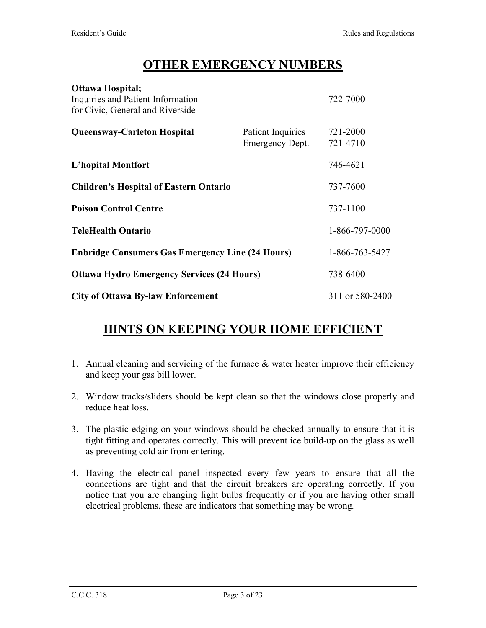## **OTHER EMERGENCY NUMBERS**

| Inquiries and Patient Information<br>for Civic, General and Riverside |                                             | 722-7000             |
|-----------------------------------------------------------------------|---------------------------------------------|----------------------|
| <b>Queensway-Carleton Hospital</b>                                    | Patient Inquiries<br><b>Emergency Dept.</b> | 721-2000<br>721-4710 |
| <b>L'hopital Montfort</b>                                             |                                             | 746-4621             |
| <b>Children's Hospital of Eastern Ontario</b>                         |                                             | 737-7600             |
| <b>Poison Control Centre</b>                                          |                                             | 737-1100             |
| <b>TeleHealth Ontario</b>                                             |                                             | 1-866-797-0000       |
| <b>Enbridge Consumers Gas Emergency Line (24 Hours)</b>               |                                             | 1-866-763-5427       |
| <b>Ottawa Hydro Emergency Services (24 Hours)</b>                     |                                             | 738-6400             |
| <b>City of Ottawa By-law Enforcement</b>                              |                                             | 311 or 580-2400      |

## **HINTS ON** K**EEPING YOUR HOME EFFICIENT**

- 1. Annual cleaning and servicing of the furnace & water heater improve their efficiency and keep your gas bill lower.
- 2. Window tracks/sliders should be kept clean so that the windows close properly and reduce heat loss.
- 3. The plastic edging on your windows should be checked annually to ensure that it is tight fitting and operates correctly. This will prevent ice build-up on the glass as well as preventing cold air from entering.
- 4. Having the electrical panel inspected every few years to ensure that all the connections are tight and that the circuit breakers are operating correctly. If you notice that you are changing light bulbs frequently or if you are having other small electrical problems, these are indicators that something may be wrong*.*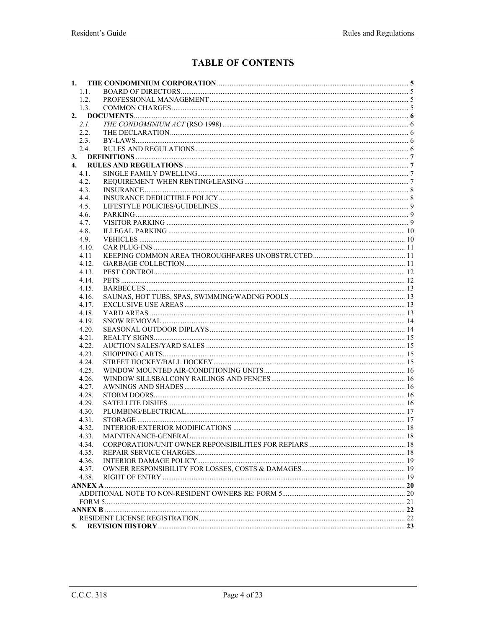## **TABLE OF CONTENTS**

| 1. |       |  |
|----|-------|--|
|    | 1.1.  |  |
|    | 1.2.  |  |
|    | 1.3.  |  |
|    |       |  |
|    | 2.1.  |  |
|    | 2.2.  |  |
|    | 2.3.  |  |
|    | 2.4.  |  |
|    |       |  |
| 4. |       |  |
|    | 4.1.  |  |
|    | 4.2.  |  |
|    | 4.3.  |  |
|    | 4.4.  |  |
|    | 4.5.  |  |
|    | 4.6.  |  |
|    | 4.7.  |  |
|    | 4.8.  |  |
|    | 4.9.  |  |
|    | 4.10. |  |
|    | 4.11  |  |
|    | 4.12. |  |
|    | 4.13. |  |
|    | 4.14. |  |
|    | 4.15. |  |
|    | 4.16. |  |
|    | 4.17. |  |
|    | 4.18. |  |
|    | 4.19. |  |
|    | 4.20. |  |
|    | 4.21. |  |
|    | 4.22. |  |
|    | 4.23. |  |
|    | 4.24. |  |
|    | 4.25. |  |
|    | 4.26. |  |
|    | 4.27. |  |
|    | 4.28. |  |
|    | 4.29. |  |
|    | 4.30. |  |
|    | 4.31. |  |
|    | 4.32. |  |
|    | 4.33. |  |
|    | 4.34. |  |
|    | 4.35. |  |
|    | 4.36. |  |
|    | 4.37. |  |
|    | 4.38. |  |
|    |       |  |
|    |       |  |
|    |       |  |
|    |       |  |
|    |       |  |
| 5. |       |  |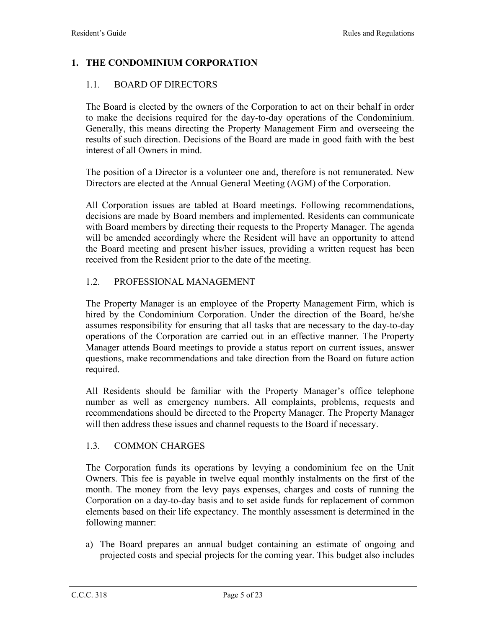### **1. THE CONDOMINIUM CORPORATION**

#### 1.1. BOARD OF DIRECTORS

The Board is elected by the owners of the Corporation to act on their behalf in order to make the decisions required for the day-to-day operations of the Condominium. Generally, this means directing the Property Management Firm and overseeing the results of such direction. Decisions of the Board are made in good faith with the best interest of all Owners in mind.

The position of a Director is a volunteer one and, therefore is not remunerated. New Directors are elected at the Annual General Meeting (AGM) of the Corporation.

All Corporation issues are tabled at Board meetings. Following recommendations, decisions are made by Board members and implemented. Residents can communicate with Board members by directing their requests to the Property Manager. The agenda will be amended accordingly where the Resident will have an opportunity to attend the Board meeting and present his/her issues, providing a written request has been received from the Resident prior to the date of the meeting.

#### 1.2. PROFESSIONAL MANAGEMENT

The Property Manager is an employee of the Property Management Firm, which is hired by the Condominium Corporation. Under the direction of the Board, he/she assumes responsibility for ensuring that all tasks that are necessary to the day-to-day operations of the Corporation are carried out in an effective manner. The Property Manager attends Board meetings to provide a status report on current issues, answer questions, make recommendations and take direction from the Board on future action required.

All Residents should be familiar with the Property Manager's office telephone number as well as emergency numbers. All complaints, problems, requests and recommendations should be directed to the Property Manager. The Property Manager will then address these issues and channel requests to the Board if necessary.

#### 1.3. COMMON CHARGES

The Corporation funds its operations by levying a condominium fee on the Unit Owners. This fee is payable in twelve equal monthly instalments on the first of the month. The money from the levy pays expenses, charges and costs of running the Corporation on a day-to-day basis and to set aside funds for replacement of common elements based on their life expectancy. The monthly assessment is determined in the following manner:

a) The Board prepares an annual budget containing an estimate of ongoing and projected costs and special projects for the coming year. This budget also includes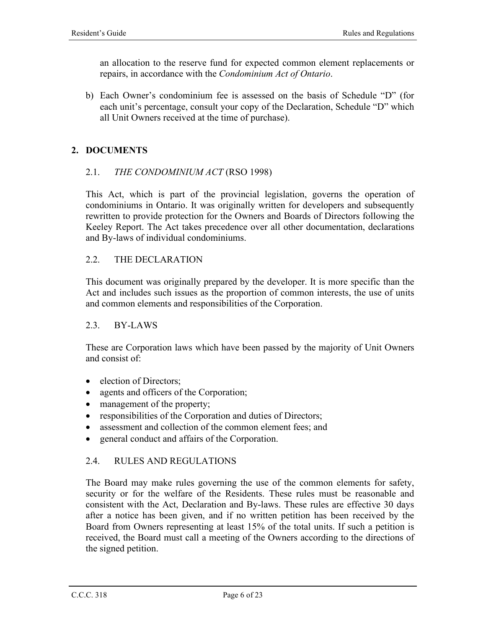an allocation to the reserve fund for expected common element replacements or repairs, in accordance with the *Condominium Act of Ontario*.

b) Each Owner's condominium fee is assessed on the basis of Schedule "D" (for each unit's percentage, consult your copy of the Declaration, Schedule "D" which all Unit Owners received at the time of purchase).

### **2. DOCUMENTS**

#### 2.1. *THE CONDOMINIUM ACT* (RSO 1998)

This Act, which is part of the provincial legislation, governs the operation of condominiums in Ontario. It was originally written for developers and subsequently rewritten to provide protection for the Owners and Boards of Directors following the Keeley Report. The Act takes precedence over all other documentation, declarations and By-laws of individual condominiums.

#### 2.2. THE DECLARATION

This document was originally prepared by the developer. It is more specific than the Act and includes such issues as the proportion of common interests, the use of units and common elements and responsibilities of the Corporation.

#### 2.3. BY-LAWS

These are Corporation laws which have been passed by the majority of Unit Owners and consist of:

- election of Directors;
- agents and officers of the Corporation;
- management of the property;
- responsibilities of the Corporation and duties of Directors;
- assessment and collection of the common element fees; and
- general conduct and affairs of the Corporation.

#### 2.4. RULES AND REGULATIONS

The Board may make rules governing the use of the common elements for safety, security or for the welfare of the Residents. These rules must be reasonable and consistent with the Act, Declaration and By-laws. These rules are effective 30 days after a notice has been given, and if no written petition has been received by the Board from Owners representing at least 15% of the total units. If such a petition is received, the Board must call a meeting of the Owners according to the directions of the signed petition.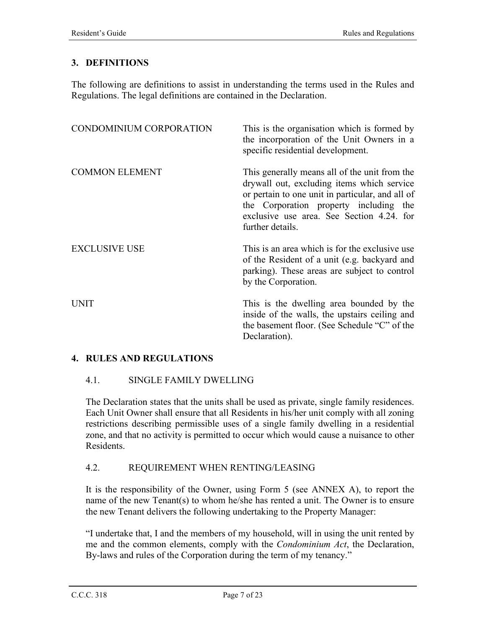### **3. DEFINITIONS**

The following are definitions to assist in understanding the terms used in the Rules and Regulations. The legal definitions are contained in the Declaration.

| CONDOMINIUM CORPORATION | This is the organisation which is formed by<br>the incorporation of the Unit Owners in a<br>specific residential development.                                                                                                                              |
|-------------------------|------------------------------------------------------------------------------------------------------------------------------------------------------------------------------------------------------------------------------------------------------------|
| <b>COMMON ELEMENT</b>   | This generally means all of the unit from the<br>drywall out, excluding items which service<br>or pertain to one unit in particular, and all of<br>the Corporation property including the<br>exclusive use area. See Section 4.24. for<br>further details. |
| <b>EXCLUSIVE USE</b>    | This is an area which is for the exclusive use<br>of the Resident of a unit (e.g. backyard and<br>parking). These areas are subject to control<br>by the Corporation.                                                                                      |
| <b>UNIT</b>             | This is the dwelling area bounded by the<br>inside of the walls, the upstairs ceiling and<br>the basement floor. (See Schedule "C" of the<br>Declaration).                                                                                                 |

#### **4. RULES AND REGULATIONS**

#### 4.1. SINGLE FAMILY DWELLING

The Declaration states that the units shall be used as private, single family residences. Each Unit Owner shall ensure that all Residents in his/her unit comply with all zoning restrictions describing permissible uses of a single family dwelling in a residential zone, and that no activity is permitted to occur which would cause a nuisance to other Residents.

#### 4.2. REQUIREMENT WHEN RENTING/LEASING

It is the responsibility of the Owner, using Form 5 (see ANNEX A), to report the name of the new Tenant(s) to whom he/she has rented a unit. The Owner is to ensure the new Tenant delivers the following undertaking to the Property Manager:

"I undertake that, I and the members of my household, will in using the unit rented by me and the common elements, comply with the *Condominium Act*, the Declaration, By-laws and rules of the Corporation during the term of my tenancy."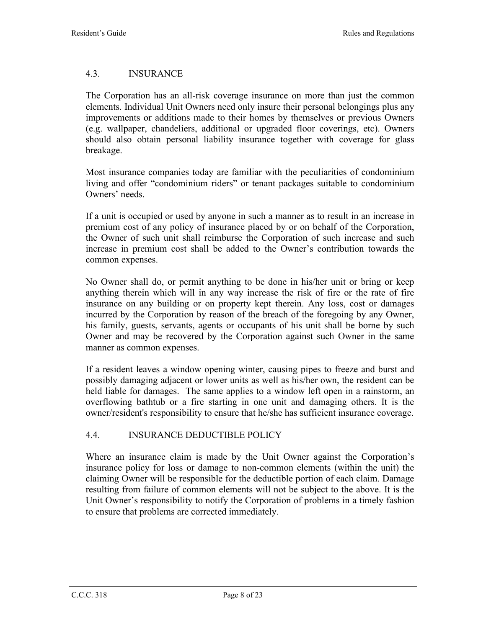### 4.3. INSURANCE

The Corporation has an all-risk coverage insurance on more than just the common elements. Individual Unit Owners need only insure their personal belongings plus any improvements or additions made to their homes by themselves or previous Owners (e.g. wallpaper, chandeliers, additional or upgraded floor coverings, etc). Owners should also obtain personal liability insurance together with coverage for glass breakage.

Most insurance companies today are familiar with the peculiarities of condominium living and offer "condominium riders" or tenant packages suitable to condominium Owners' needs.

If a unit is occupied or used by anyone in such a manner as to result in an increase in premium cost of any policy of insurance placed by or on behalf of the Corporation, the Owner of such unit shall reimburse the Corporation of such increase and such increase in premium cost shall be added to the Owner's contribution towards the common expenses.

No Owner shall do, or permit anything to be done in his/her unit or bring or keep anything therein which will in any way increase the risk of fire or the rate of fire insurance on any building or on property kept therein. Any loss, cost or damages incurred by the Corporation by reason of the breach of the foregoing by any Owner, his family, guests, servants, agents or occupants of his unit shall be borne by such Owner and may be recovered by the Corporation against such Owner in the same manner as common expenses.

If a resident leaves a window opening winter, causing pipes to freeze and burst and possibly damaging adjacent or lower units as well as his/her own, the resident can be held liable for damages. The same applies to a window left open in a rainstorm, an overflowing bathtub or a fire starting in one unit and damaging others. It is the owner/resident's responsibility to ensure that he/she has sufficient insurance coverage.

#### 4.4. INSURANCE DEDUCTIBLE POLICY

Where an insurance claim is made by the Unit Owner against the Corporation's insurance policy for loss or damage to non-common elements (within the unit) the claiming Owner will be responsible for the deductible portion of each claim. Damage resulting from failure of common elements will not be subject to the above. It is the Unit Owner's responsibility to notify the Corporation of problems in a timely fashion to ensure that problems are corrected immediately.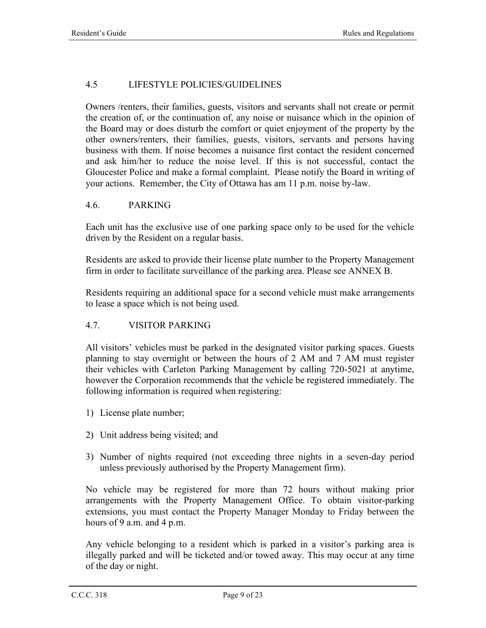### 4.5 LIFESTYLE POLICIES/GUIDELINES

Owners /renters, their families, guests, visitors and servants shall not create or permit the creation of, or the continuation of, any noise or nuisance which in the opinion of the Board may or does disturb the comfort or quiet enjoyment of the property by the other owners/renters, their families, guests, visitors, servants and persons having business with them. If noise becomes a nuisance first contact the resident concerned and ask him/her to reduce the noise level. If this is not successful, contact the Gloucester Police and make a formal complaint. Please notify the Board in writing of your actions. Remember, the City of Ottawa has am 11 p.m. noise by-law.

### 4.6. PARKING

Each unit has the exclusive use of one parking space only to be used for the vehicle driven by the Resident on a regular basis.

Residents are asked to provide their license plate number to the Property Management firm in order to facilitate surveillance of the parking area. Please see ANNEX B.

Residents requiring an additional space for a second vehicle must make arrangements to lease a space which is not being used.

#### 4.7. VISITOR PARKING

All visitors' vehicles must be parked in the designated visitor parking spaces. Guests planning to stay overnight or between the hours of 2 AM and 7 AM must register their vehicles with Carleton Parking Management by calling 720-5021 at anytime, however the Corporation recommends that the vehicle be registered immediately. The following information is required when registering:

- 1) License plate number;
- 2) Unit address being visited; and
- 3) Number of nights required (not exceeding three nights in a seven-day period unless previously authorised by the Property Management firm).

No vehicle may be registered for more than 72 hours without making prior arrangements with the Property Management Office. To obtain visitor-parking extensions, you must contact the Property Manager Monday to Friday between the hours of 9 a.m. and 4 p.m.

Any vehicle belonging to a resident which is parked in a visitor's parking area is illegally parked and will be ticketed and/or towed away. This may occur at any time of the day or night.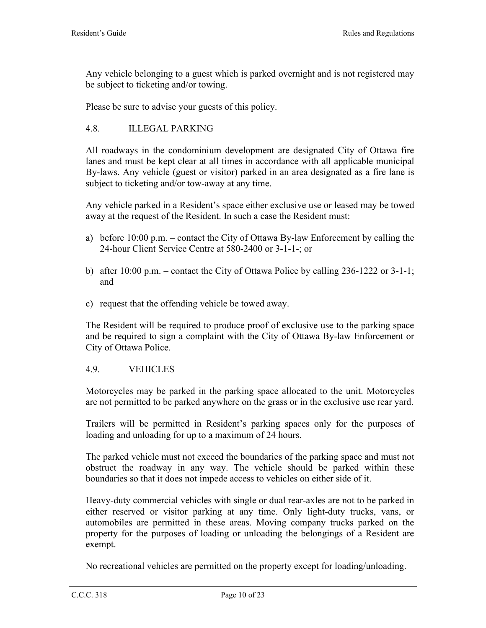Any vehicle belonging to a guest which is parked overnight and is not registered may be subject to ticketing and/or towing.

Please be sure to advise your guests of this policy.

#### 4.8. ILLEGAL PARKING

All roadways in the condominium development are designated City of Ottawa fire lanes and must be kept clear at all times in accordance with all applicable municipal By-laws. Any vehicle (guest or visitor) parked in an area designated as a fire lane is subject to ticketing and/or tow-away at any time.

Any vehicle parked in a Resident's space either exclusive use or leased may be towed away at the request of the Resident. In such a case the Resident must:

- a) before 10:00 p.m. contact the City of Ottawa By-law Enforcement by calling the 24-hour Client Service Centre at 580-2400 or 3-1-1-; or
- b) after 10:00 p.m. contact the City of Ottawa Police by calling 236-1222 or 3-1-1; and
- c) request that the offending vehicle be towed away.

The Resident will be required to produce proof of exclusive use to the parking space and be required to sign a complaint with the City of Ottawa By-law Enforcement or City of Ottawa Police.

#### 4.9. VEHICLES

Motorcycles may be parked in the parking space allocated to the unit. Motorcycles are not permitted to be parked anywhere on the grass or in the exclusive use rear yard.

Trailers will be permitted in Resident's parking spaces only for the purposes of loading and unloading for up to a maximum of 24 hours.

The parked vehicle must not exceed the boundaries of the parking space and must not obstruct the roadway in any way. The vehicle should be parked within these boundaries so that it does not impede access to vehicles on either side of it.

Heavy-duty commercial vehicles with single or dual rear-axles are not to be parked in either reserved or visitor parking at any time. Only light-duty trucks, vans, or automobiles are permitted in these areas. Moving company trucks parked on the property for the purposes of loading or unloading the belongings of a Resident are exempt.

No recreational vehicles are permitted on the property except for loading/unloading.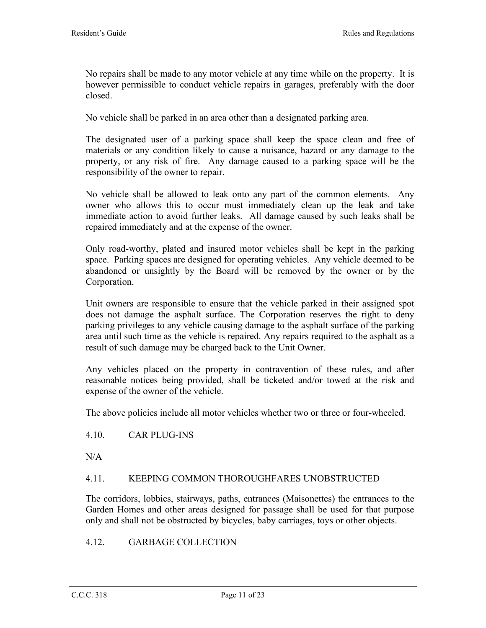No repairs shall be made to any motor vehicle at any time while on the property. It is however permissible to conduct vehicle repairs in garages, preferably with the door closed.

No vehicle shall be parked in an area other than a designated parking area.

The designated user of a parking space shall keep the space clean and free of materials or any condition likely to cause a nuisance, hazard or any damage to the property, or any risk of fire. Any damage caused to a parking space will be the responsibility of the owner to repair.

No vehicle shall be allowed to leak onto any part of the common elements. Any owner who allows this to occur must immediately clean up the leak and take immediate action to avoid further leaks. All damage caused by such leaks shall be repaired immediately and at the expense of the owner.

Only road-worthy, plated and insured motor vehicles shall be kept in the parking space. Parking spaces are designed for operating vehicles. Any vehicle deemed to be abandoned or unsightly by the Board will be removed by the owner or by the Corporation.

Unit owners are responsible to ensure that the vehicle parked in their assigned spot does not damage the asphalt surface. The Corporation reserves the right to deny parking privileges to any vehicle causing damage to the asphalt surface of the parking area until such time as the vehicle is repaired. Any repairs required to the asphalt as a result of such damage may be charged back to the Unit Owner.

Any vehicles placed on the property in contravention of these rules, and after reasonable notices being provided, shall be ticketed and/or towed at the risk and expense of the owner of the vehicle.

The above policies include all motor vehicles whether two or three or four-wheeled.

#### 4.10. CAR PLUG-INS

 $N/A$ 

#### 4.11. KEEPING COMMON THOROUGHFARES UNOBSTRUCTED

The corridors, lobbies, stairways, paths, entrances (Maisonettes) the entrances to the Garden Homes and other areas designed for passage shall be used for that purpose only and shall not be obstructed by bicycles, baby carriages, toys or other objects.

#### 4.12. GARBAGE COLLECTION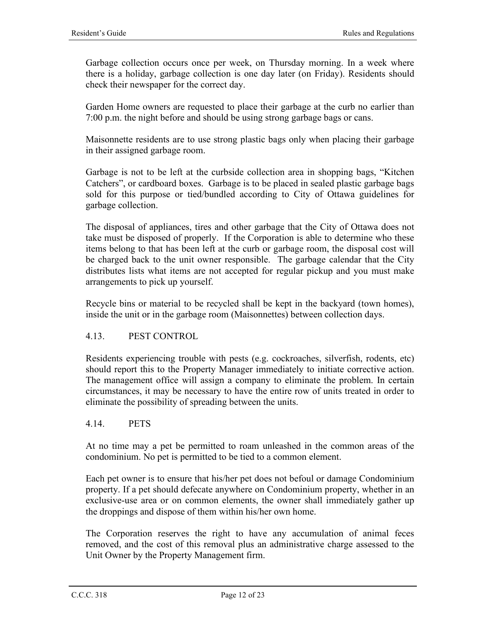Garbage collection occurs once per week, on Thursday morning. In a week where there is a holiday, garbage collection is one day later (on Friday). Residents should check their newspaper for the correct day.

Garden Home owners are requested to place their garbage at the curb no earlier than 7:00 p.m. the night before and should be using strong garbage bags or cans.

Maisonnette residents are to use strong plastic bags only when placing their garbage in their assigned garbage room.

Garbage is not to be left at the curbside collection area in shopping bags, "Kitchen Catchers", or cardboard boxes. Garbage is to be placed in sealed plastic garbage bags sold for this purpose or tied/bundled according to City of Ottawa guidelines for garbage collection.

The disposal of appliances, tires and other garbage that the City of Ottawa does not take must be disposed of properly. If the Corporation is able to determine who these items belong to that has been left at the curb or garbage room, the disposal cost will be charged back to the unit owner responsible. The garbage calendar that the City distributes lists what items are not accepted for regular pickup and you must make arrangements to pick up yourself.

Recycle bins or material to be recycled shall be kept in the backyard (town homes), inside the unit or in the garbage room (Maisonnettes) between collection days.

#### 4.13. PEST CONTROL

Residents experiencing trouble with pests (e.g. cockroaches, silverfish, rodents, etc) should report this to the Property Manager immediately to initiate corrective action. The management office will assign a company to eliminate the problem. In certain circumstances, it may be necessary to have the entire row of units treated in order to eliminate the possibility of spreading between the units.

#### 4.14. PETS

At no time may a pet be permitted to roam unleashed in the common areas of the condominium. No pet is permitted to be tied to a common element.

Each pet owner is to ensure that his/her pet does not befoul or damage Condominium property. If a pet should defecate anywhere on Condominium property, whether in an exclusive-use area or on common elements, the owner shall immediately gather up the droppings and dispose of them within his/her own home.

The Corporation reserves the right to have any accumulation of animal feces removed, and the cost of this removal plus an administrative charge assessed to the Unit Owner by the Property Management firm.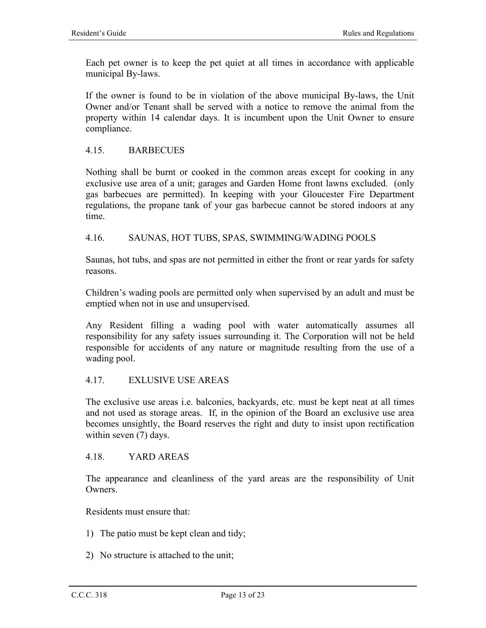Each pet owner is to keep the pet quiet at all times in accordance with applicable municipal By-laws.

If the owner is found to be in violation of the above municipal By-laws, the Unit Owner and/or Tenant shall be served with a notice to remove the animal from the property within 14 calendar days. It is incumbent upon the Unit Owner to ensure compliance.

#### 4.15. BARBECUES

Nothing shall be burnt or cooked in the common areas except for cooking in any exclusive use area of a unit; garages and Garden Home front lawns excluded. (only gas barbecues are permitted). In keeping with your Gloucester Fire Department regulations, the propane tank of your gas barbecue cannot be stored indoors at any time.

#### 4.16. SAUNAS, HOT TUBS, SPAS, SWIMMING/WADING POOLS

Saunas, hot tubs, and spas are not permitted in either the front or rear yards for safety reasons.

Children's wading pools are permitted only when supervised by an adult and must be emptied when not in use and unsupervised.

Any Resident filling a wading pool with water automatically assumes all responsibility for any safety issues surrounding it. The Corporation will not be held responsible for accidents of any nature or magnitude resulting from the use of a wading pool.

#### 4.17. EXLUSIVE USE AREAS

The exclusive use areas i.e. balconies, backyards, etc. must be kept neat at all times and not used as storage areas. If, in the opinion of the Board an exclusive use area becomes unsightly, the Board reserves the right and duty to insist upon rectification within seven (7) days.

#### 4.18. YARD AREAS

The appearance and cleanliness of the yard areas are the responsibility of Unit Owners.

Residents must ensure that:

- 1) The patio must be kept clean and tidy;
- 2) No structure is attached to the unit;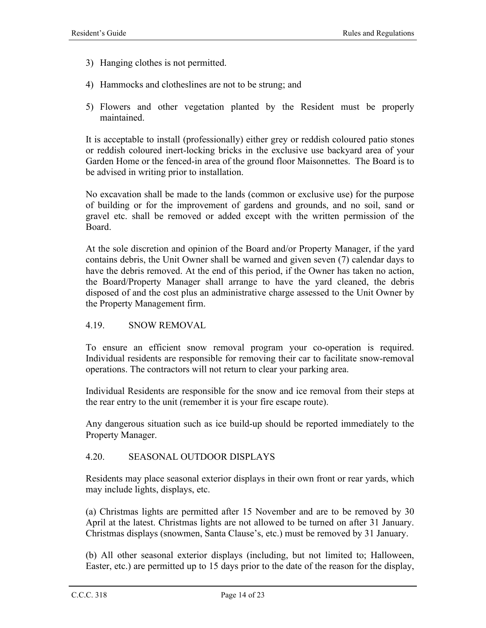- 3) Hanging clothes is not permitted.
- 4) Hammocks and clotheslines are not to be strung; and
- 5) Flowers and other vegetation planted by the Resident must be properly maintained.

It is acceptable to install (professionally) either grey or reddish coloured patio stones or reddish coloured inert-locking bricks in the exclusive use backyard area of your Garden Home or the fenced-in area of the ground floor Maisonnettes. The Board is to be advised in writing prior to installation.

No excavation shall be made to the lands (common or exclusive use) for the purpose of building or for the improvement of gardens and grounds, and no soil, sand or gravel etc. shall be removed or added except with the written permission of the Board.

At the sole discretion and opinion of the Board and/or Property Manager, if the yard contains debris, the Unit Owner shall be warned and given seven (7) calendar days to have the debris removed. At the end of this period, if the Owner has taken no action, the Board/Property Manager shall arrange to have the yard cleaned, the debris disposed of and the cost plus an administrative charge assessed to the Unit Owner by the Property Management firm.

#### 4.19. SNOW REMOVAL

To ensure an efficient snow removal program your co-operation is required. Individual residents are responsible for removing their car to facilitate snow-removal operations. The contractors will not return to clear your parking area.

Individual Residents are responsible for the snow and ice removal from their steps at the rear entry to the unit (remember it is your fire escape route).

Any dangerous situation such as ice build-up should be reported immediately to the Property Manager.

#### 4.20. SEASONAL OUTDOOR DISPLAYS

Residents may place seasonal exterior displays in their own front or rear yards, which may include lights, displays, etc.

(a) Christmas lights are permitted after 15 November and are to be removed by 30 April at the latest. Christmas lights are not allowed to be turned on after 31 January. Christmas displays (snowmen, Santa Clause's, etc.) must be removed by 31 January.

(b) All other seasonal exterior displays (including, but not limited to; Halloween, Easter, etc.) are permitted up to 15 days prior to the date of the reason for the display,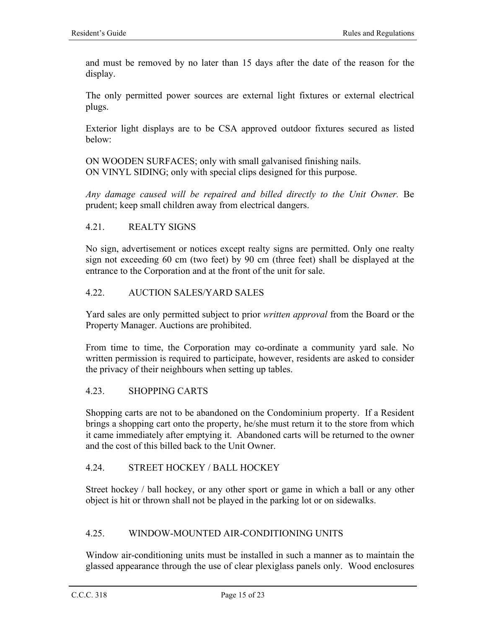and must be removed by no later than 15 days after the date of the reason for the display.

The only permitted power sources are external light fixtures or external electrical plugs.

Exterior light displays are to be CSA approved outdoor fixtures secured as listed below:

ON WOODEN SURFACES; only with small galvanised finishing nails. ON VINYL SIDING; only with special clips designed for this purpose.

*Any damage caused will be repaired and billed directly to the Unit Owner.* Be prudent; keep small children away from electrical dangers.

#### 4.21. REALTY SIGNS

No sign, advertisement or notices except realty signs are permitted. Only one realty sign not exceeding 60 cm (two feet) by 90 cm (three feet) shall be displayed at the entrance to the Corporation and at the front of the unit for sale.

#### 4.22. AUCTION SALES/YARD SALES

Yard sales are only permitted subject to prior *written approval* from the Board or the Property Manager. Auctions are prohibited.

From time to time, the Corporation may co-ordinate a community yard sale. No written permission is required to participate, however, residents are asked to consider the privacy of their neighbours when setting up tables.

#### 4.23. SHOPPING CARTS

Shopping carts are not to be abandoned on the Condominium property. If a Resident brings a shopping cart onto the property, he/she must return it to the store from which it came immediately after emptying it. Abandoned carts will be returned to the owner and the cost of this billed back to the Unit Owner.

#### 4.24. STREET HOCKEY / BALL HOCKEY

Street hockey / ball hockey, or any other sport or game in which a ball or any other object is hit or thrown shall not be played in the parking lot or on sidewalks.

#### 4.25. WINDOW-MOUNTED AIR-CONDITIONING UNITS

Window air-conditioning units must be installed in such a manner as to maintain the glassed appearance through the use of clear plexiglass panels only. Wood enclosures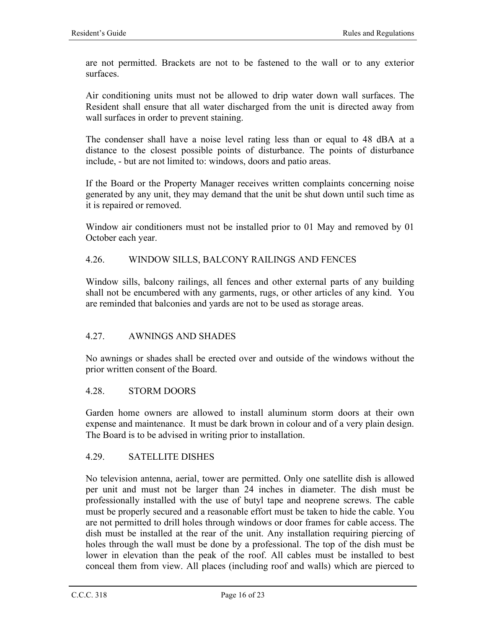are not permitted. Brackets are not to be fastened to the wall or to any exterior surfaces.

Air conditioning units must not be allowed to drip water down wall surfaces. The Resident shall ensure that all water discharged from the unit is directed away from wall surfaces in order to prevent staining.

The condenser shall have a noise level rating less than or equal to 48 dBA at a distance to the closest possible points of disturbance. The points of disturbance include, - but are not limited to: windows, doors and patio areas.

If the Board or the Property Manager receives written complaints concerning noise generated by any unit, they may demand that the unit be shut down until such time as it is repaired or removed.

Window air conditioners must not be installed prior to 01 May and removed by 01 October each year.

#### 4.26. WINDOW SILLS, BALCONY RAILINGS AND FENCES

Window sills, balcony railings, all fences and other external parts of any building shall not be encumbered with any garments, rugs, or other articles of any kind. You are reminded that balconies and yards are not to be used as storage areas.

#### 4.27. AWNINGS AND SHADES

No awnings or shades shall be erected over and outside of the windows without the prior written consent of the Board.

#### 4.28. STORM DOORS

Garden home owners are allowed to install aluminum storm doors at their own expense and maintenance. It must be dark brown in colour and of a very plain design. The Board is to be advised in writing prior to installation.

#### 4.29. SATELLITE DISHES

No television antenna, aerial, tower are permitted. Only one satellite dish is allowed per unit and must not be larger than 24 inches in diameter. The dish must be professionally installed with the use of butyl tape and neoprene screws. The cable must be properly secured and a reasonable effort must be taken to hide the cable. You are not permitted to drill holes through windows or door frames for cable access. The dish must be installed at the rear of the unit. Any installation requiring piercing of holes through the wall must be done by a professional. The top of the dish must be lower in elevation than the peak of the roof. All cables must be installed to best conceal them from view. All places (including roof and walls) which are pierced to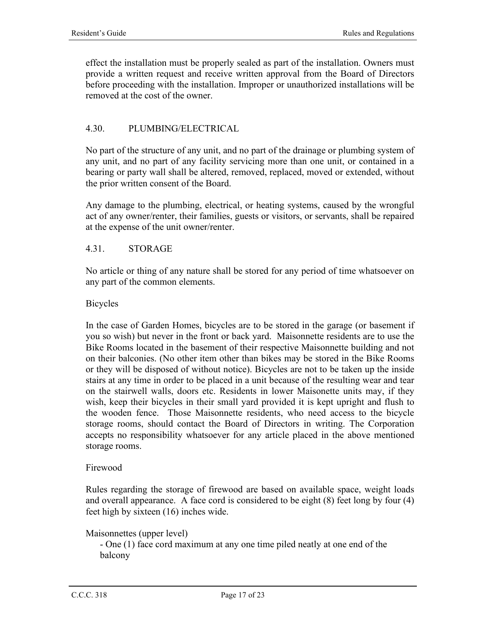effect the installation must be properly sealed as part of the installation. Owners must provide a written request and receive written approval from the Board of Directors before proceeding with the installation. Improper or unauthorized installations will be removed at the cost of the owner.

#### 4.30. PLUMBING/ELECTRICAL

No part of the structure of any unit, and no part of the drainage or plumbing system of any unit, and no part of any facility servicing more than one unit, or contained in a bearing or party wall shall be altered, removed, replaced, moved or extended, without the prior written consent of the Board.

Any damage to the plumbing, electrical, or heating systems, caused by the wrongful act of any owner/renter, their families, guests or visitors, or servants, shall be repaired at the expense of the unit owner/renter.

#### 4.31. STORAGE

No article or thing of any nature shall be stored for any period of time whatsoever on any part of the common elements.

#### Bicycles

In the case of Garden Homes, bicycles are to be stored in the garage (or basement if you so wish) but never in the front or back yard. Maisonnette residents are to use the Bike Rooms located in the basement of their respective Maisonnette building and not on their balconies. (No other item other than bikes may be stored in the Bike Rooms or they will be disposed of without notice). Bicycles are not to be taken up the inside stairs at any time in order to be placed in a unit because of the resulting wear and tear on the stairwell walls, doors etc. Residents in lower Maisonette units may, if they wish, keep their bicycles in their small yard provided it is kept upright and flush to the wooden fence. Those Maisonnette residents, who need access to the bicycle storage rooms, should contact the Board of Directors in writing. The Corporation accepts no responsibility whatsoever for any article placed in the above mentioned storage rooms.

#### Firewood

Rules regarding the storage of firewood are based on available space, weight loads and overall appearance. A face cord is considered to be eight (8) feet long by four (4) feet high by sixteen (16) inches wide.

#### Maisonnettes (upper level)

- One (1) face cord maximum at any one time piled neatly at one end of the balcony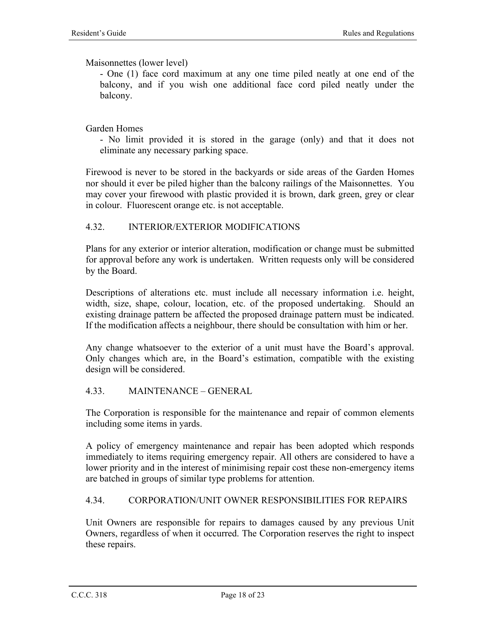Maisonnettes (lower level)

- One (1) face cord maximum at any one time piled neatly at one end of the balcony, and if you wish one additional face cord piled neatly under the balcony.

#### Garden Homes

- No limit provided it is stored in the garage (only) and that it does not eliminate any necessary parking space.

Firewood is never to be stored in the backyards or side areas of the Garden Homes nor should it ever be piled higher than the balcony railings of the Maisonnettes. You may cover your firewood with plastic provided it is brown, dark green, grey or clear in colour. Fluorescent orange etc. is not acceptable.

#### 4.32. INTERIOR/EXTERIOR MODIFICATIONS

Plans for any exterior or interior alteration, modification or change must be submitted for approval before any work is undertaken. Written requests only will be considered by the Board.

Descriptions of alterations etc. must include all necessary information i.e. height, width, size, shape, colour, location, etc. of the proposed undertaking. Should an existing drainage pattern be affected the proposed drainage pattern must be indicated. If the modification affects a neighbour, there should be consultation with him or her.

Any change whatsoever to the exterior of a unit must have the Board's approval. Only changes which are, in the Board's estimation, compatible with the existing design will be considered.

#### 4.33. MAINTENANCE – GENERAL

The Corporation is responsible for the maintenance and repair of common elements including some items in yards.

A policy of emergency maintenance and repair has been adopted which responds immediately to items requiring emergency repair. All others are considered to have a lower priority and in the interest of minimising repair cost these non-emergency items are batched in groups of similar type problems for attention.

#### 4.34. CORPORATION/UNIT OWNER RESPONSIBILITIES FOR REPAIRS

Unit Owners are responsible for repairs to damages caused by any previous Unit Owners, regardless of when it occurred. The Corporation reserves the right to inspect these repairs.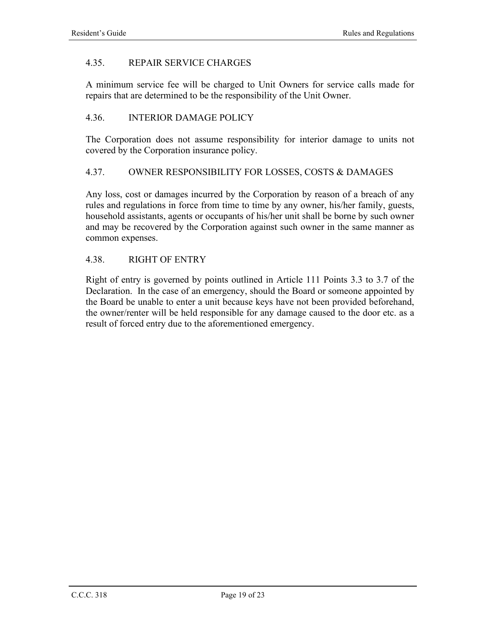#### 4.35. REPAIR SERVICE CHARGES

A minimum service fee will be charged to Unit Owners for service calls made for repairs that are determined to be the responsibility of the Unit Owner.

#### 4.36. INTERIOR DAMAGE POLICY

The Corporation does not assume responsibility for interior damage to units not covered by the Corporation insurance policy.

#### 4.37. OWNER RESPONSIBILITY FOR LOSSES, COSTS & DAMAGES

Any loss, cost or damages incurred by the Corporation by reason of a breach of any rules and regulations in force from time to time by any owner, his/her family, guests, household assistants, agents or occupants of his/her unit shall be borne by such owner and may be recovered by the Corporation against such owner in the same manner as common expenses.

#### 4.38. RIGHT OF ENTRY

Right of entry is governed by points outlined in Article 111 Points 3.3 to 3.7 of the Declaration. In the case of an emergency, should the Board or someone appointed by the Board be unable to enter a unit because keys have not been provided beforehand, the owner/renter will be held responsible for any damage caused to the door etc. as a result of forced entry due to the aforementioned emergency.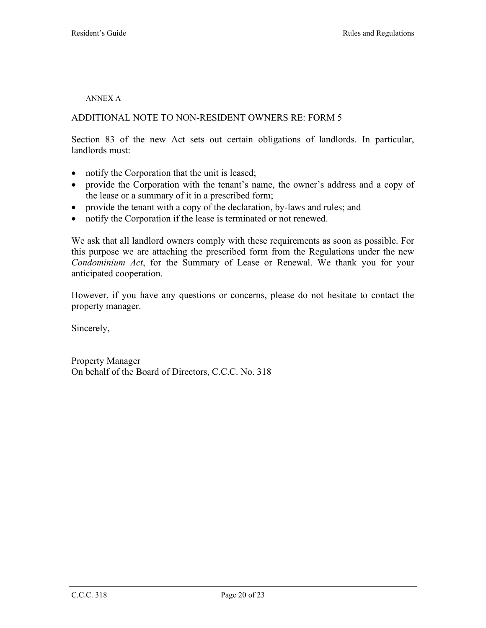#### ANNEX A

#### ADDITIONAL NOTE TO NON-RESIDENT OWNERS RE: FORM 5

Section 83 of the new Act sets out certain obligations of landlords. In particular, landlords must:

- notify the Corporation that the unit is leased;
- provide the Corporation with the tenant's name, the owner's address and a copy of the lease or a summary of it in a prescribed form;
- provide the tenant with a copy of the declaration, by-laws and rules; and
- notify the Corporation if the lease is terminated or not renewed.

We ask that all landlord owners comply with these requirements as soon as possible. For this purpose we are attaching the prescribed form from the Regulations under the new *Condominium Act*, for the Summary of Lease or Renewal. We thank you for your anticipated cooperation.

However, if you have any questions or concerns, please do not hesitate to contact the property manager.

Sincerely,

Property Manager On behalf of the Board of Directors, C.C.C. No. 318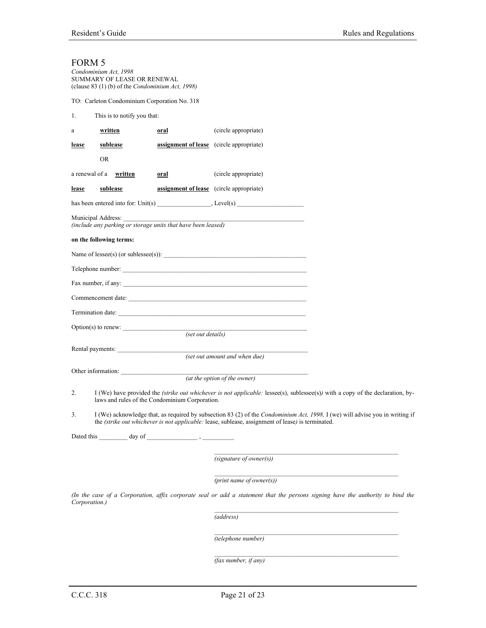| 'ORM |  |
|------|--|
|      |  |

| FORM 5        | Condominium Act, 1998<br>SUMMARY OF LEASE OR RENEWAL<br>(clause 83 (1) (b) of the Condominium Act, 1998) |                                          |                                                                                                   |                                                                                                                                        |
|---------------|----------------------------------------------------------------------------------------------------------|------------------------------------------|---------------------------------------------------------------------------------------------------|----------------------------------------------------------------------------------------------------------------------------------------|
|               | TO: Carleton Condominium Corporation No. 318                                                             |                                          |                                                                                                   |                                                                                                                                        |
| 1.            | This is to notify you that:                                                                              |                                          |                                                                                                   |                                                                                                                                        |
| a             | written                                                                                                  | oral                                     | (circle appropriate)                                                                              |                                                                                                                                        |
| lease         | sublease                                                                                                 | assignment of lease (circle appropriate) |                                                                                                   |                                                                                                                                        |
|               | <b>OR</b>                                                                                                |                                          |                                                                                                   |                                                                                                                                        |
|               | a renewal of a written                                                                                   | oral                                     | (circle appropriate)                                                                              |                                                                                                                                        |
| lease         | <u>sublease</u>                                                                                          | assignment of lease (circle appropriate) |                                                                                                   |                                                                                                                                        |
|               |                                                                                                          |                                          |                                                                                                   |                                                                                                                                        |
|               | Municipal Address:<br>(include any parking or storage units that have been leased)                       |                                          |                                                                                                   |                                                                                                                                        |
|               | on the following terms:                                                                                  |                                          |                                                                                                   |                                                                                                                                        |
|               |                                                                                                          |                                          |                                                                                                   |                                                                                                                                        |
|               |                                                                                                          |                                          |                                                                                                   |                                                                                                                                        |
|               |                                                                                                          |                                          | Fax number, if any:                                                                               |                                                                                                                                        |
|               |                                                                                                          |                                          | Commencement date:                                                                                |                                                                                                                                        |
|               |                                                                                                          |                                          | Termination date:                                                                                 |                                                                                                                                        |
|               |                                                                                                          |                                          | the control of the control of the control of the control of                                       |                                                                                                                                        |
|               |                                                                                                          | (set out details)                        |                                                                                                   |                                                                                                                                        |
|               | Rental payments:                                                                                         |                                          | (set out amount and when due)                                                                     |                                                                                                                                        |
|               | Other information:                                                                                       |                                          |                                                                                                   |                                                                                                                                        |
|               |                                                                                                          |                                          | (at the option of the owner)                                                                      |                                                                                                                                        |
| 2.            | laws and rules of the Condominium Corporation.                                                           |                                          |                                                                                                   | I (We) have provided the <i>(strike out whichever is not applicable: lessee(s)</i> , sublessee(s)) with a copy of the declaration, by- |
| 3.            |                                                                                                          |                                          | the (strike out whichever is not applicable: lease, sublease, assignment of lease) is terminated. | I (We) acknowledge that, as required by subsection 83 (2) of the <i>Condominium Act</i> , 1998, I (we) will advise you in writing if   |
|               |                                                                                                          |                                          |                                                                                                   |                                                                                                                                        |
|               |                                                                                                          |                                          | $(signature\ of\ owner(s))$                                                                       |                                                                                                                                        |
|               |                                                                                                          |                                          | $(print$ name of owner $(s)$ )                                                                    |                                                                                                                                        |
| Corporation.) |                                                                                                          |                                          |                                                                                                   | (In the case of a Corporation, affix corporate seal or add a statement that the persons signing have the authority to bind the         |
|               |                                                                                                          |                                          | (address)                                                                                         |                                                                                                                                        |
|               |                                                                                                          |                                          | (telephone number)                                                                                |                                                                                                                                        |
|               |                                                                                                          |                                          | (fax number, if any)                                                                              |                                                                                                                                        |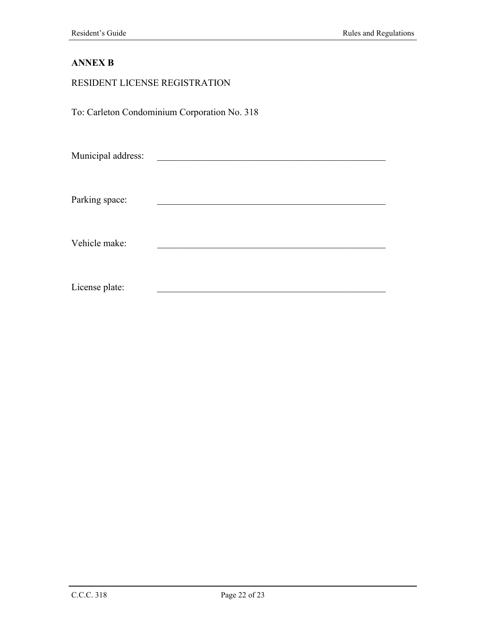## **ANNEX B**

| RESIDENT LICENSE REGISTRATION |                                              |  |
|-------------------------------|----------------------------------------------|--|
|                               | To: Carleton Condominium Corporation No. 318 |  |
| Municipal address:            |                                              |  |
| Parking space:                |                                              |  |
| Vehicle make:                 |                                              |  |
| License plate:                |                                              |  |